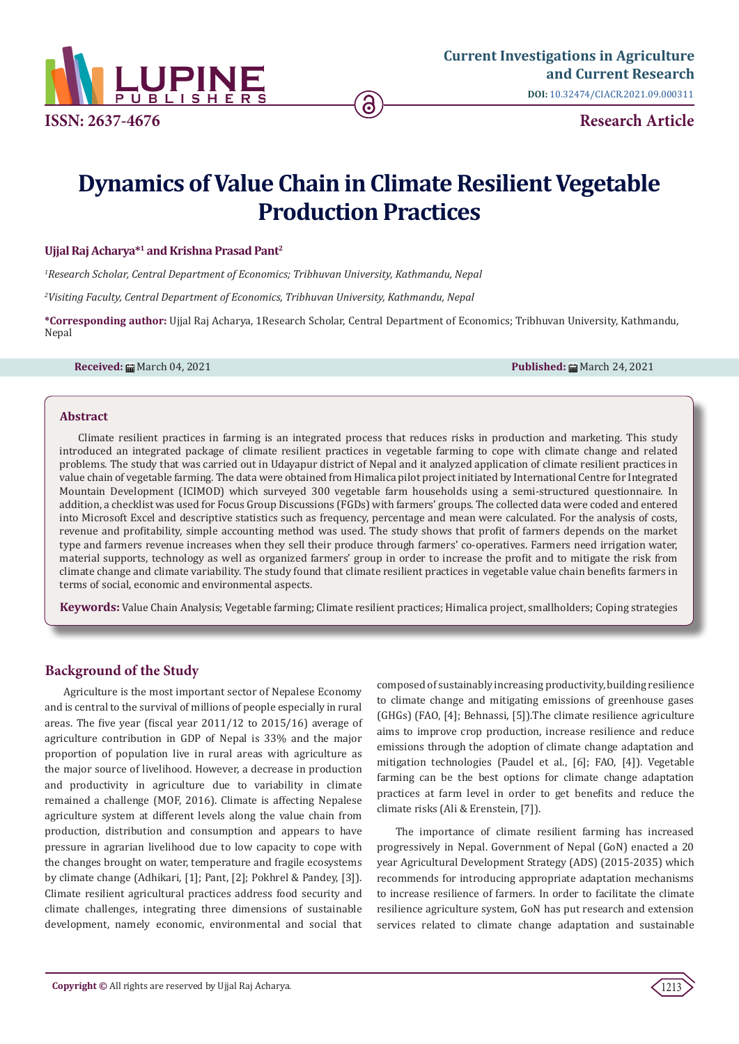

# **Dynamics of Value Chain in Climate Resilient Vegetable Production Practices**

# **Ujjal Raj Acharya\*1 and Krishna Prasad Pant2**

*1 Research Scholar, Central Department of Economics; Tribhuvan University, Kathmandu, Nepal*

*2 Visiting Faculty, Central Department of Economics, Tribhuvan University, Kathmandu, Nepal*

**\*Corresponding author:** Ujjal Raj Acharya, 1Research Scholar, Central Department of Economics; Tribhuvan University, Kathmandu, Nepal

**Received:** March 04, 2021 **Published:** March 24, 2021

#### **Abstract**

Climate resilient practices in farming is an integrated process that reduces risks in production and marketing. This study introduced an integrated package of climate resilient practices in vegetable farming to cope with climate change and related problems. The study that was carried out in Udayapur district of Nepal and it analyzed application of climate resilient practices in value chain of vegetable farming. The data were obtained from Himalica pilot project initiated by International Centre for Integrated Mountain Development (ICIMOD) which surveyed 300 vegetable farm households using a semi-structured questionnaire. In addition, a checklist was used for Focus Group Discussions (FGDs) with farmers' groups. The collected data were coded and entered into Microsoft Excel and descriptive statistics such as frequency, percentage and mean were calculated. For the analysis of costs, revenue and profitability, simple accounting method was used. The study shows that profit of farmers depends on the market type and farmers revenue increases when they sell their produce through farmers' co-operatives. Farmers need irrigation water, material supports, technology as well as organized farmers' group in order to increase the profit and to mitigate the risk from climate change and climate variability. The study found that climate resilient practices in vegetable value chain benefits farmers in terms of social, economic and environmental aspects.

**Keywords:** Value Chain Analysis; Vegetable farming; Climate resilient practices; Himalica project, smallholders; Coping strategies

# **Background of the Study**

Agriculture is the most important sector of Nepalese Economy and is central to the survival of millions of people especially in rural areas. The five year (fiscal year 2011/12 to 2015/16) average of agriculture contribution in GDP of Nepal is 33% and the major proportion of population live in rural areas with agriculture as the major source of livelihood. However, a decrease in production and productivity in agriculture due to variability in climate remained a challenge (MOF, 2016). Climate is affecting Nepalese agriculture system at different levels along the value chain from production, distribution and consumption and appears to have pressure in agrarian livelihood due to low capacity to cope with the changes brought on water, temperature and fragile ecosystems by climate change (Adhikari, [1]; Pant, [2]; Pokhrel & Pandey, [3]). Climate resilient agricultural practices address food security and climate challenges, integrating three dimensions of sustainable development, namely economic, environmental and social that composed of sustainably increasing productivity, building resilience to climate change and mitigating emissions of greenhouse gases (GHGs) (FAO, [4]; Behnassi, [5]).The climate resilience agriculture aims to improve crop production, increase resilience and reduce emissions through the adoption of climate change adaptation and mitigation technologies (Paudel et al., [6]; FAO, [4]). Vegetable farming can be the best options for climate change adaptation practices at farm level in order to get benefits and reduce the climate risks (Ali & Erenstein, [7]).

The importance of climate resilient farming has increased progressively in Nepal. Government of Nepal (GoN) enacted a 20 year Agricultural Development Strategy (ADS) (2015-2035) which recommends for introducing appropriate adaptation mechanisms to increase resilience of farmers. In order to facilitate the climate resilience agriculture system, GoN has put research and extension services related to climate change adaptation and sustainable

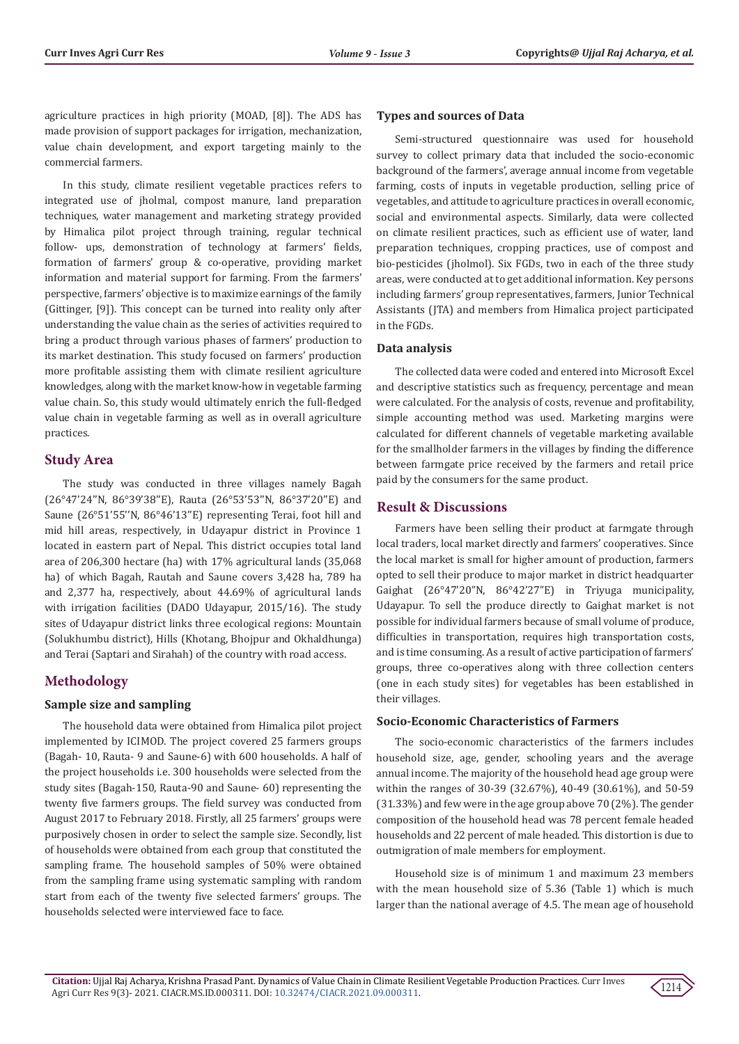agriculture practices in high priority (MOAD, [8]). The ADS has made provision of support packages for irrigation, mechanization, value chain development, and export targeting mainly to the commercial farmers.

In this study, climate resilient vegetable practices refers to integrated use of jholmal, compost manure, land preparation techniques, water management and marketing strategy provided by Himalica pilot project through training, regular technical follow- ups, demonstration of technology at farmers' fields, formation of farmers' group & co-operative, providing market information and material support for farming. From the farmers' perspective, farmers' objective is to maximize earnings of the family (Gittinger, [9]). This concept can be turned into reality only after understanding the value chain as the series of activities required to bring a product through various phases of farmers' production to its market destination. This study focused on farmers' production more profitable assisting them with climate resilient agriculture knowledges, along with the market know-how in vegetable farming value chain. So, this study would ultimately enrich the full-fledged value chain in vegetable farming as well as in overall agriculture practices.

# **Study Area**

The study was conducted in three villages namely Bagah (26°47'24''N, 86°39'38''E), Rauta (26°53'53''N, 86°37'20''E) and Saune (26°51'55''N, 86°46'13''E) representing Terai, foot hill and mid hill areas, respectively, in Udayapur district in Province 1 located in eastern part of Nepal. This district occupies total land area of 206,300 hectare (ha) with 17% agricultural lands (35,068 ha) of which Bagah, Rautah and Saune covers 3,428 ha, 789 ha and 2,377 ha, respectively, about 44.69% of agricultural lands with irrigation facilities (DADO Udayapur, 2015/16). The study sites of Udayapur district links three ecological regions: Mountain (Solukhumbu district), Hills (Khotang, Bhojpur and Okhaldhunga) and Terai (Saptari and Sirahah) of the country with road access.

# **Methodology**

# **Sample size and sampling**

The household data were obtained from Himalica pilot project implemented by ICIMOD. The project covered 25 farmers groups (Bagah- 10, Rauta- 9 and Saune-6) with 600 households. A half of the project households i.e. 300 households were selected from the study sites (Bagah-150, Rauta-90 and Saune- 60) representing the twenty five farmers groups. The field survey was conducted from August 2017 to February 2018. Firstly, all 25 farmers' groups were purposively chosen in order to select the sample size. Secondly, list of households were obtained from each group that constituted the sampling frame. The household samples of 50% were obtained from the sampling frame using systematic sampling with random start from each of the twenty five selected farmers' groups. The households selected were interviewed face to face.

# **Types and sources of Data**

Semi-structured questionnaire was used for household survey to collect primary data that included the socio-economic background of the farmers', average annual income from vegetable farming, costs of inputs in vegetable production, selling price of vegetables, and attitude to agriculture practices in overall economic, social and environmental aspects. Similarly, data were collected on climate resilient practices, such as efficient use of water, land preparation techniques, cropping practices, use of compost and bio-pesticides (jholmol). Six FGDs, two in each of the three study areas, were conducted at to get additional information. Key persons including farmers' group representatives, farmers, Junior Technical Assistants (JTA) and members from Himalica project participated in the FGDs.

# **Data analysis**

The collected data were coded and entered into Microsoft Excel and descriptive statistics such as frequency, percentage and mean were calculated. For the analysis of costs, revenue and profitability, simple accounting method was used. Marketing margins were calculated for different channels of vegetable marketing available for the smallholder farmers in the villages by finding the difference between farmgate price received by the farmers and retail price paid by the consumers for the same product.

# **Result & Discussions**

Farmers have been selling their product at farmgate through local traders, local market directly and farmers' cooperatives. Since the local market is small for higher amount of production, farmers opted to sell their produce to major market in district headquarter Gaighat (26°47'20"N, 86°42'27"E) in Triyuga municipality, Udayapur. To sell the produce directly to Gaighat market is not possible for individual farmers because of small volume of produce, difficulties in transportation, requires high transportation costs, and is time consuming. As a result of active participation of farmers' groups, three co-operatives along with three collection centers (one in each study sites) for vegetables has been established in their villages.

# **Socio-Economic Characteristics of Farmers**

The socio-economic characteristics of the farmers includes household size, age, gender, schooling years and the average annual income. The majority of the household head age group were within the ranges of 30-39 (32.67%), 40-49 (30.61%), and 50-59 (31.33%) and few were in the age group above 70 (2%). The gender composition of the household head was 78 percent female headed households and 22 percent of male headed. This distortion is due to outmigration of male members for employment.

Household size is of minimum 1 and maximum 23 members with the mean household size of 5.36 (Table 1) which is much larger than the national average of 4.5. The mean age of household

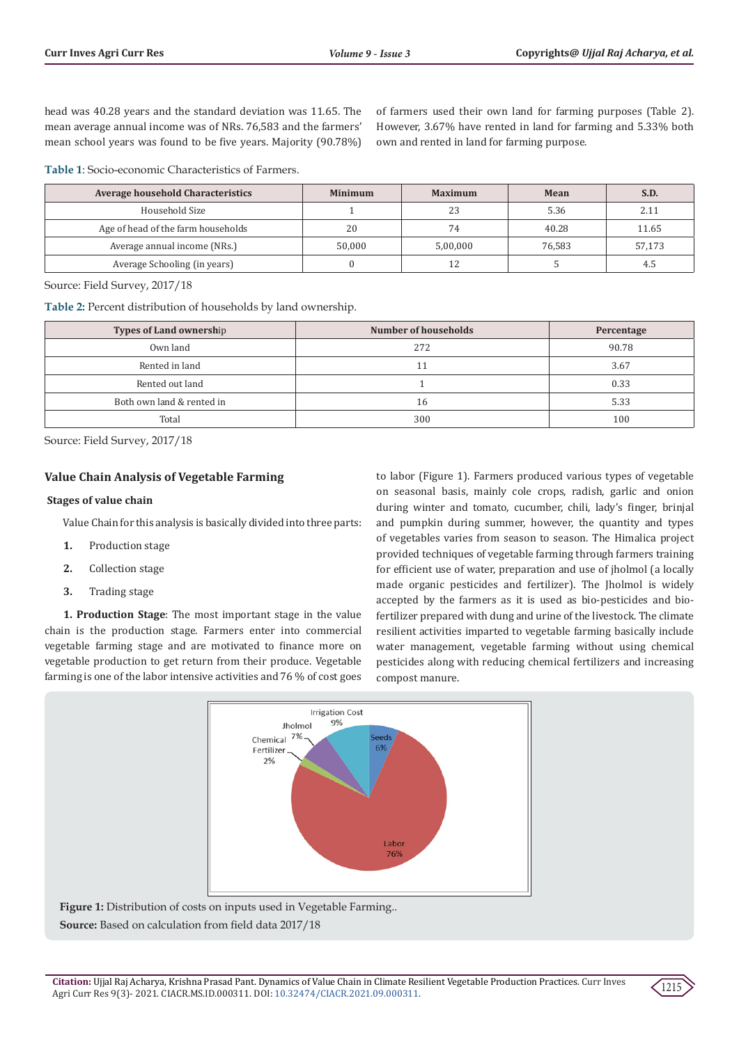head was 40.28 years and the standard deviation was 11.65. The mean average annual income was of NRs. 76,583 and the farmers' mean school years was found to be five years. Majority (90.78%)

of farmers used their own land for farming purposes (Table 2). However, 3.67% have rented in land for farming and 5.33% both own and rented in land for farming purpose.

**Table 1**: Socio-economic Characteristics of Farmers.

| <b>Average household Characteristics</b> | <b>Minimum</b> | <b>Maximum</b> | Mean   | S.D.   |
|------------------------------------------|----------------|----------------|--------|--------|
| Household Size                           |                | 23             | 5.36   | 2.11   |
| Age of head of the farm households       | 20             | 74             | 40.28  | 11.65  |
| Average annual income (NRs.)             | 50.000         | 5.00.000       | 76.583 | 57,173 |
| Average Schooling (in years)             |                |                |        | 4.5    |

Source: Field Survey, 2017/18

**Table 2:** Percent distribution of households by land ownership.

| <b>Types of Land ownership</b> | Number of households | Percentage |
|--------------------------------|----------------------|------------|
| Own land                       | 272                  | 90.78      |
| Rented in land                 |                      | 3.67       |
| Rented out land                |                      | 0.33       |
| Both own land & rented in      | 16                   | 5.33       |
| Total                          | 300                  | 100        |

Source: Field Survey, 2017/18

# **Value Chain Analysis of Vegetable Farming**

#### **Stages of value chain**

Value Chain for this analysis is basically divided into three parts:

- **1.** Production stage
- **2.** Collection stage
- **3.** Trading stage

**1. Production Stage**: The most important stage in the value chain is the production stage. Farmers enter into commercial vegetable farming stage and are motivated to finance more on vegetable production to get return from their produce. Vegetable farming is one of the labor intensive activities and 76 % of cost goes to labor (Figure 1). Farmers produced various types of vegetable on seasonal basis, mainly cole crops, radish, garlic and onion during winter and tomato, cucumber, chili, lady's finger, brinjal and pumpkin during summer, however, the quantity and types of vegetables varies from season to season. The Himalica project provided techniques of vegetable farming through farmers training for efficient use of water, preparation and use of jholmol (a locally made organic pesticides and fertilizer). The Jholmol is widely accepted by the farmers as it is used as bio-pesticides and biofertilizer prepared with dung and urine of the livestock. The climate resilient activities imparted to vegetable farming basically include water management, vegetable farming without using chemical pesticides along with reducing chemical fertilizers and increasing compost manure.



**Figure 1:** Distribution of costs on inputs used in Vegetable Farming.. **Source:** Based on calculation from field data 2017/18

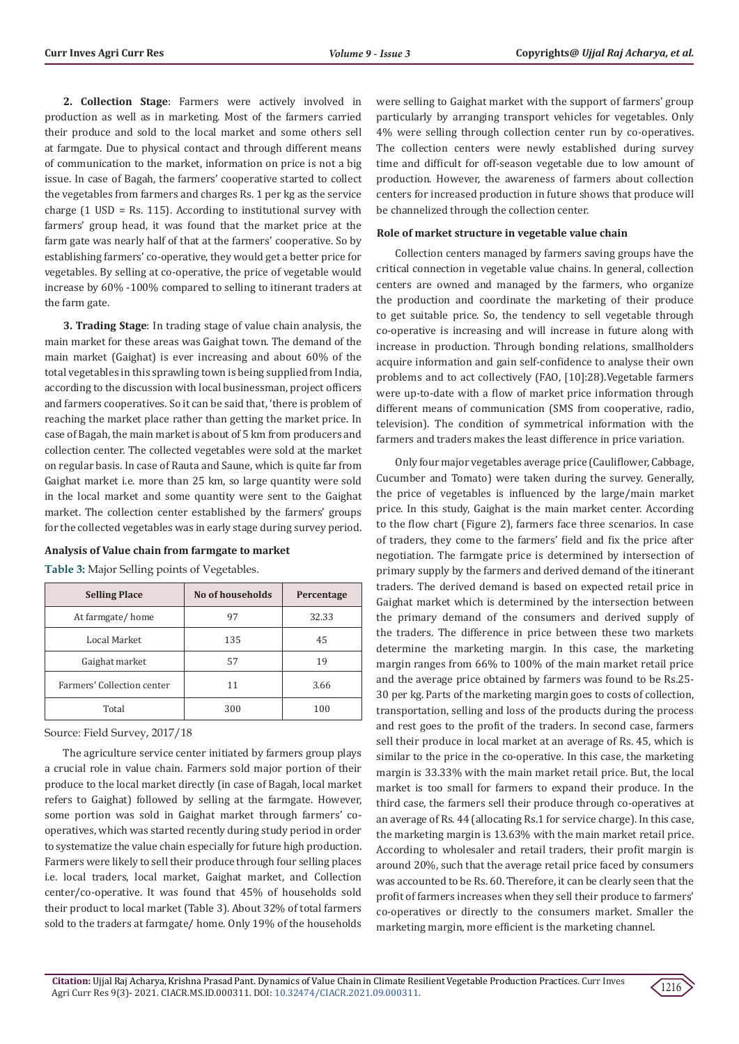**2. Collection Stage**: Farmers were actively involved in production as well as in marketing. Most of the farmers carried their produce and sold to the local market and some others sell at farmgate. Due to physical contact and through different means of communication to the market, information on price is not a big issue. In case of Bagah, the farmers' cooperative started to collect the vegetables from farmers and charges Rs. 1 per kg as the service charge (1 USD = Rs. 115). According to institutional survey with farmers' group head, it was found that the market price at the farm gate was nearly half of that at the farmers' cooperative. So by establishing farmers' co-operative, they would get a better price for vegetables. By selling at co-operative, the price of vegetable would increase by 60% -100% compared to selling to itinerant traders at the farm gate.

**3. Trading Stage**: In trading stage of value chain analysis, the main market for these areas was Gaighat town. The demand of the main market (Gaighat) is ever increasing and about 60% of the total vegetables in this sprawling town is being supplied from India, according to the discussion with local businessman, project officers and farmers cooperatives. So it can be said that, 'there is problem of reaching the market place rather than getting the market price. In case of Bagah, the main market is about of 5 km from producers and collection center. The collected vegetables were sold at the market on regular basis. In case of Rauta and Saune, which is quite far from Gaighat market i.e. more than 25 km, so large quantity were sold in the local market and some quantity were sent to the Gaighat market. The collection center established by the farmers' groups for the collected vegetables was in early stage during survey period.

**Analysis of Value chain from farmgate to market** 

| <b>Selling Place</b>       | No of households | Percentage |
|----------------------------|------------------|------------|
| At farmgate/home           | 97               | 32.33      |
| Local Market               | 135              | 45         |
| Gaighat market             | 57               | 19         |
| Farmers' Collection center | 11               | 3.66       |
| Total                      | 300              | 100        |

**Table 3:** Major Selling points of Vegetables.

Source: Field Survey, 2017/18

The agriculture service center initiated by farmers group plays a crucial role in value chain. Farmers sold major portion of their produce to the local market directly (in case of Bagah, local market refers to Gaighat) followed by selling at the farmgate. However, some portion was sold in Gaighat market through farmers' cooperatives, which was started recently during study period in order to systematize the value chain especially for future high production. Farmers were likely to sell their produce through four selling places i.e. local traders, local market, Gaighat market, and Collection center/co-operative. It was found that 45% of households sold their product to local market (Table 3). About 32% of total farmers sold to the traders at farmgate/ home. Only 19% of the households were selling to Gaighat market with the support of farmers' group particularly by arranging transport vehicles for vegetables. Only 4% were selling through collection center run by co-operatives. The collection centers were newly established during survey time and difficult for off-season vegetable due to low amount of production. However, the awareness of farmers about collection centers for increased production in future shows that produce will be channelized through the collection center.

#### **Role of market structure in vegetable value chain**

Collection centers managed by farmers saving groups have the critical connection in vegetable value chains. In general, collection centers are owned and managed by the farmers, who organize the production and coordinate the marketing of their produce to get suitable price. So, the tendency to sell vegetable through co-operative is increasing and will increase in future along with increase in production. Through bonding relations, smallholders acquire information and gain self-confidence to analyse their own problems and to act collectively (FAO, [10]:28).Vegetable farmers were up-to-date with a flow of market price information through different means of communication (SMS from cooperative, radio, television). The condition of symmetrical information with the farmers and traders makes the least difference in price variation.

Only four major vegetables average price (Cauliflower, Cabbage, Cucumber and Tomato) were taken during the survey. Generally, the price of vegetables is influenced by the large/main market price. In this study, Gaighat is the main market center. According to the flow chart (Figure 2), farmers face three scenarios. In case of traders, they come to the farmers' field and fix the price after negotiation. The farmgate price is determined by intersection of primary supply by the farmers and derived demand of the itinerant traders. The derived demand is based on expected retail price in Gaighat market which is determined by the intersection between the primary demand of the consumers and derived supply of the traders. The difference in price between these two markets determine the marketing margin. In this case, the marketing margin ranges from 66% to 100% of the main market retail price and the average price obtained by farmers was found to be Rs.25- 30 per kg. Parts of the marketing margin goes to costs of collection, transportation, selling and loss of the products during the process and rest goes to the profit of the traders. In second case, farmers sell their produce in local market at an average of Rs. 45, which is similar to the price in the co-operative. In this case, the marketing margin is 33.33% with the main market retail price. But, the local market is too small for farmers to expand their produce. In the third case, the farmers sell their produce through co-operatives at an average of Rs. 44 (allocating Rs.1 for service charge). In this case, the marketing margin is 13.63% with the main market retail price. According to wholesaler and retail traders, their profit margin is around 20%, such that the average retail price faced by consumers was accounted to be Rs. 60. Therefore, it can be clearly seen that the profit of farmers increases when they sell their produce to farmers' co-operatives or directly to the consumers market. Smaller the marketing margin, more efficient is the marketing channel.

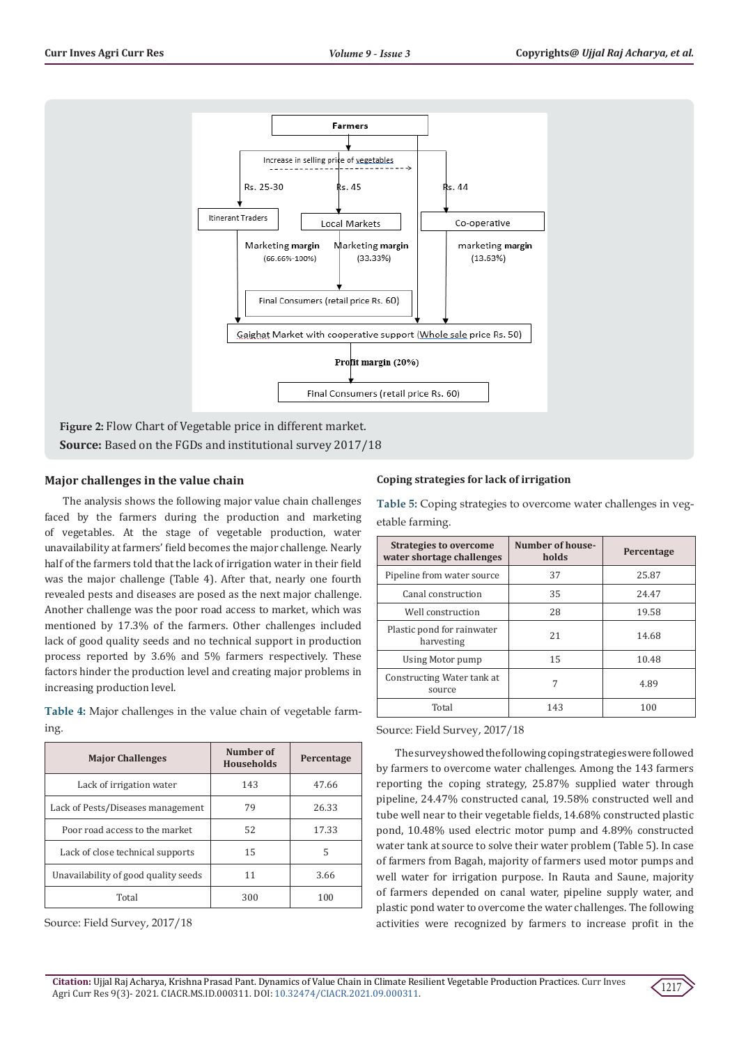

**Source:** Based on the FGDs and institutional survey 2017/18

# **Major challenges in the value chain**

The analysis shows the following major value chain challenges faced by the farmers during the production and marketing of vegetables. At the stage of vegetable production, water unavailability at farmers' field becomes the major challenge. Nearly half of the farmers told that the lack of irrigation water in their field was the major challenge (Table 4). After that, nearly one fourth revealed pests and diseases are posed as the next major challenge. Another challenge was the poor road access to market, which was mentioned by 17.3% of the farmers. Other challenges included lack of good quality seeds and no technical support in production process reported by 3.6% and 5% farmers respectively. These factors hinder the production level and creating major problems in increasing production level.

**Table 4:** Major challenges in the value chain of vegetable farming.

| <b>Major Challenges</b>              | Number of<br><b>Households</b> | Percentage |
|--------------------------------------|--------------------------------|------------|
| Lack of irrigation water             | 143                            | 47.66      |
| Lack of Pests/Diseases management    | 79                             | 26.33      |
| Poor road access to the market       | 52                             | 17.33      |
| Lack of close technical supports     | 15                             | 5          |
| Unavailability of good quality seeds | 11                             | 3.66       |
| Total                                | 300                            | 100        |

Source: Field Survey, 2017/18

# **Coping strategies for lack of irrigation**

**Table 5:** Coping strategies to overcome water challenges in vegetable farming.

| <b>Strategies to overcome</b><br>water shortage challenges | <b>Number of house-</b><br>holds | Percentage |
|------------------------------------------------------------|----------------------------------|------------|
| Pipeline from water source                                 | 37                               | 25.87      |
| Canal construction                                         | 35                               | 24.47      |
| Well construction                                          | 28                               | 19.58      |
| Plastic pond for rainwater<br>harvesting                   | 21                               | 14.68      |
| Using Motor pump                                           | 15                               | 10.48      |
| Constructing Water tank at<br>source                       | 7                                | 4.89       |
| Total                                                      | 143                              | 100        |

Source: Field Survey, 2017/18

The survey showed the following coping strategies were followed by farmers to overcome water challenges. Among the 143 farmers reporting the coping strategy, 25.87% supplied water through pipeline, 24.47% constructed canal, 19.58% constructed well and tube well near to their vegetable fields, 14.68% constructed plastic pond, 10.48% used electric motor pump and 4.89% constructed water tank at source to solve their water problem (Table 5). In case of farmers from Bagah, majority of farmers used motor pumps and well water for irrigation purpose. In Rauta and Saune, majority of farmers depended on canal water, pipeline supply water, and plastic pond water to overcome the water challenges. The following activities were recognized by farmers to increase profit in the

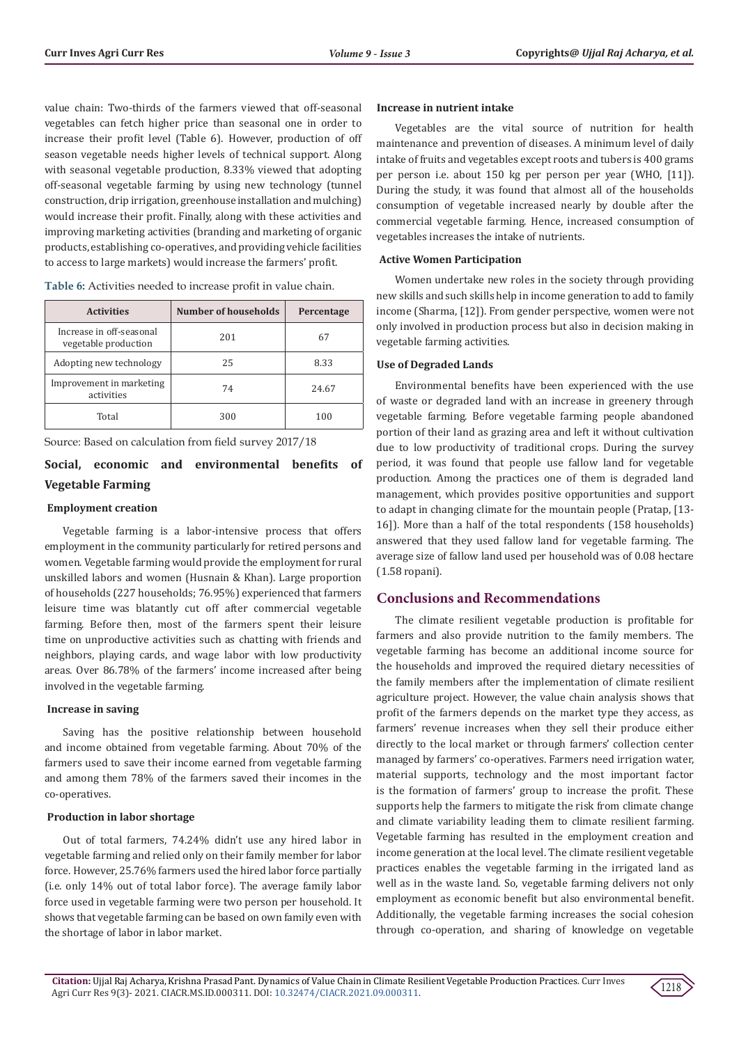value chain: Two-thirds of the farmers viewed that off-seasonal vegetables can fetch higher price than seasonal one in order to increase their profit level (Table 6). However, production of off season vegetable needs higher levels of technical support. Along with seasonal vegetable production, 8.33% viewed that adopting off-seasonal vegetable farming by using new technology (tunnel construction, drip irrigation, greenhouse installation and mulching) would increase their profit. Finally, along with these activities and improving marketing activities (branding and marketing of organic products, establishing co-operatives, and providing vehicle facilities to access to large markets) would increase the farmers' profit.

| <b>Activities</b>                                | Number of households | Percentage |
|--------------------------------------------------|----------------------|------------|
| Increase in off-seasonal<br>vegetable production | 201                  | 67         |
| Adopting new technology                          | 25                   | 8.33       |
| Improvement in marketing<br>activities           | 74                   | 24.67      |
| Total                                            | 300                  | 100        |

**Table 6:** Activities needed to increase profit in value chain.

Source: Based on calculation from field survey 2017/18

# **Social, economic and environmental benefits of Vegetable Farming**

## **Employment creation**

Vegetable farming is a labor-intensive process that offers employment in the community particularly for retired persons and women. Vegetable farming would provide the employment for rural unskilled labors and women (Husnain & Khan). Large proportion of households (227 households; 76.95%) experienced that farmers leisure time was blatantly cut off after commercial vegetable farming. Before then, most of the farmers spent their leisure time on unproductive activities such as chatting with friends and neighbors, playing cards, and wage labor with low productivity areas. Over 86.78% of the farmers' income increased after being involved in the vegetable farming.

#### **Increase in saving**

Saving has the positive relationship between household and income obtained from vegetable farming. About 70% of the farmers used to save their income earned from vegetable farming and among them 78% of the farmers saved their incomes in the co-operatives.

# **Production in labor shortage**

Out of total farmers, 74.24% didn't use any hired labor in vegetable farming and relied only on their family member for labor force. However, 25.76% farmers used the hired labor force partially (i.e. only 14% out of total labor force). The average family labor force used in vegetable farming were two person per household. It shows that vegetable farming can be based on own family even with the shortage of labor in labor market.

#### **Increase in nutrient intake**

Vegetables are the vital source of nutrition for health maintenance and prevention of diseases. A minimum level of daily intake of fruits and vegetables except roots and tubers is 400 grams per person i.e. about 150 kg per person per year (WHO, [11]). During the study, it was found that almost all of the households consumption of vegetable increased nearly by double after the commercial vegetable farming. Hence, increased consumption of vegetables increases the intake of nutrients.

## **Active Women Participation**

Women undertake new roles in the society through providing new skills and such skills help in income generation to add to family income (Sharma, [12]). From gender perspective, women were not only involved in production process but also in decision making in vegetable farming activities.

# **Use of Degraded Lands**

Environmental benefits have been experienced with the use of waste or degraded land with an increase in greenery through vegetable farming. Before vegetable farming people abandoned portion of their land as grazing area and left it without cultivation due to low productivity of traditional crops. During the survey period, it was found that people use fallow land for vegetable production. Among the practices one of them is degraded land management, which provides positive opportunities and support to adapt in changing climate for the mountain people (Pratap, [13- 16]). More than a half of the total respondents (158 households) answered that they used fallow land for vegetable farming. The average size of fallow land used per household was of 0.08 hectare (1.58 ropani).

# **Conclusions and Recommendations**

The climate resilient vegetable production is profitable for farmers and also provide nutrition to the family members. The vegetable farming has become an additional income source for the households and improved the required dietary necessities of the family members after the implementation of climate resilient agriculture project. However, the value chain analysis shows that profit of the farmers depends on the market type they access, as farmers' revenue increases when they sell their produce either directly to the local market or through farmers' collection center managed by farmers' co-operatives. Farmers need irrigation water, material supports, technology and the most important factor is the formation of farmers' group to increase the profit. These supports help the farmers to mitigate the risk from climate change and climate variability leading them to climate resilient farming. Vegetable farming has resulted in the employment creation and income generation at the local level. The climate resilient vegetable practices enables the vegetable farming in the irrigated land as well as in the waste land. So, vegetable farming delivers not only employment as economic benefit but also environmental benefit. Additionally, the vegetable farming increases the social cohesion through co-operation, and sharing of knowledge on vegetable